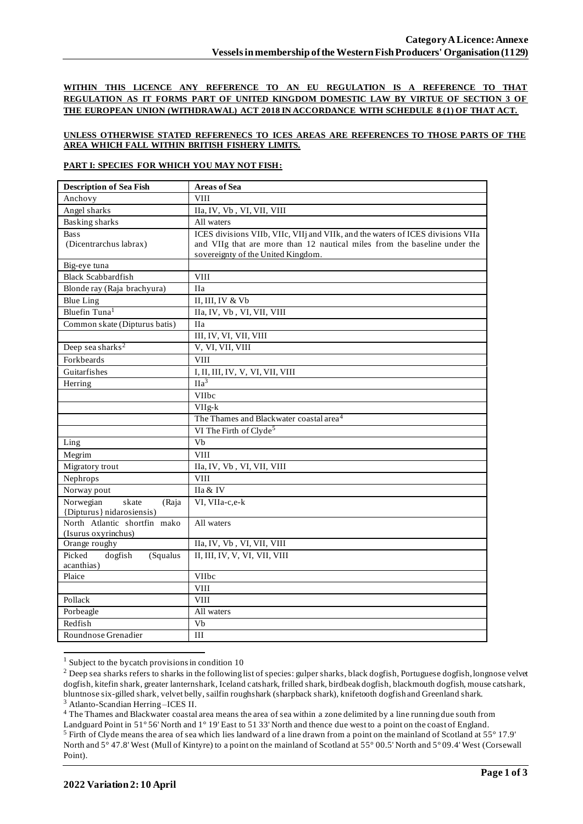**WITHIN THIS LICENCE ANY REFERENCE TO AN EU REGULATION IS A REFERENCE TO THAT REGULATION AS IT FORMS PART OF UNITED KINGDOM DOMESTIC LAW BY VIRTUE OF SECTION 3 OF THE EUROPEAN UNION (WITHDRAWAL) ACT 2018 IN ACCORDANCE WITH SCHEDULE 8 (1) OF THAT ACT.**

## **UNLESS OTHERWISE STATED REFERENECS TO ICES AREAS ARE REFERENCES TO THOSE PARTS OF THE AREA WHICH FALL WITHIN BRITISH FISHERY LIMITS.**

## **PART I: SPECIES FOR WHICH YOU MAY NOT FISH:**

| <b>Description of Sea Fish</b>              | <b>Areas of Sea</b>                                                             |
|---------------------------------------------|---------------------------------------------------------------------------------|
| Anchovy                                     | <b>VIII</b>                                                                     |
| Angel sharks                                | IIa, IV, Vb, VI, VII, VIII                                                      |
| <b>Basking sharks</b>                       | All waters                                                                      |
| <b>Bass</b>                                 | ICES divisions VIIb, VIIc, VIIj and VIIk, and the waters of ICES divisions VIIa |
| (Dicentrarchus labrax)                      | and VIIg that are more than 12 nautical miles from the baseline under the       |
|                                             | sovereignty of the United Kingdom.                                              |
| Big-eye tuna                                |                                                                                 |
| <b>Black Scabbardfish</b>                   | VIII                                                                            |
| Blonde ray (Raja brachyura)                 | <b>IIa</b>                                                                      |
| <b>Blue Ling</b>                            | II, III, IV & Vb                                                                |
| Bluefin Tuna <sup>1</sup>                   | IIa, IV, Vb, VI, VII, VIII                                                      |
| Common skate (Dipturus batis)               | <b>IIa</b>                                                                      |
|                                             | III, IV, VI, VII, VIII                                                          |
| Deep sea sharks <sup>2</sup>                | V, VI, VII, VIII                                                                |
| Forkbeards                                  | <b>VIII</b>                                                                     |
| Guitarfishes                                | I, II, III, IV, V, VI, VII, VIII                                                |
| Herring                                     | IIa <sup>3</sup>                                                                |
|                                             | VIIbc                                                                           |
|                                             | VIIg-k                                                                          |
|                                             | The Thames and Blackwater coastal area <sup>4</sup>                             |
|                                             | VI The Firth of Clyde <sup>5</sup>                                              |
| Ling                                        | Vb                                                                              |
| Megrim                                      | <b>VIII</b>                                                                     |
| Migratory trout                             | IIa, IV, Vb, VI, VII, VIII                                                      |
| Nephrops                                    | <b>VIII</b>                                                                     |
| Norway pout                                 | IIa & IV                                                                        |
| Norwegian<br>skate<br>(Raja                 | VI, VIIa-c,e-k                                                                  |
| {Dipturus} nidarosiensis}                   |                                                                                 |
| North Atlantic shortfin mako                | All waters                                                                      |
| (Isurus oxyrinchus)                         |                                                                                 |
| Orange roughy                               | IIa, IV, Vb, VI, VII, VIII<br>II, III, IV, V, VI, VII, VIII                     |
| Picked<br>dogfish<br>(Squalus<br>acanthias) |                                                                                 |
| Plaice                                      | VIIbc                                                                           |
|                                             | <b>VIII</b>                                                                     |
| Pollack                                     | <b>VIII</b>                                                                     |
| Porbeagle                                   | All waters                                                                      |
| Redfish                                     | Vb                                                                              |
| Roundnose Grenadier                         | III                                                                             |
|                                             |                                                                                 |

 $1$  Subject to the bycatch provisions in condition 10

<sup>4</sup> The Thames and Blackwater coastal area means the area of sea within a zone delimited by a line running due south from

<sup>&</sup>lt;sup>2</sup> Deep sea sharks refers to sharks in the following list of species: gulper sharks, black dogfish, Portuguese dogfish, longnose velvet dogfish, kitefin shark, greater lanternshark, Iceland catshark, frilled shark, birdbeak dogfish, blackmouth dogfish, mouse catshark, bluntnose six-gilled shark, velvet belly, sailfin roughshark (sharpback shark), knifetooth dogfish and Greenland shark. <sup>3</sup> Atlanto-Scandian Herring –ICES II.

Landguard Point in 51° 56' North and 1° 19' East to 51 33' North and thence due west to a point on the coast of England. <sup>5</sup> Firth of Clyde means the area of sea which lies landward of a line drawn from a point on the mainland of Scotland at 55° 17.9' North and 5° 47.8' West (Mull of Kintyre) to a point on the mainland of Scotland at 55° 00.5' North and 5° 09.4' West (Corsewall Point).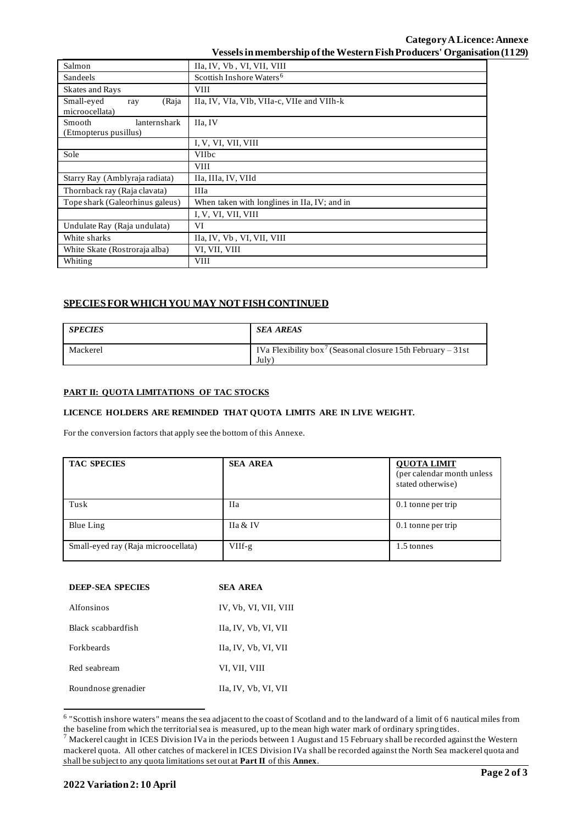| Salmon                                          | IIa, IV, Vb, VI, VII, VIII                   |  |  |  |  |
|-------------------------------------------------|----------------------------------------------|--|--|--|--|
| Sandeels                                        | Scottish Inshore Waters <sup>6</sup>         |  |  |  |  |
| Skates and Rays                                 | <b>VIII</b>                                  |  |  |  |  |
| Small-eyed<br>(Raja<br>ray<br>microocellata)    | IIa, IV, VIa, VIb, VIIa-c, VIIe and VIIh-k   |  |  |  |  |
| Smooth<br>lanternshark<br>(Etmopterus pusillus) | IIa, IV                                      |  |  |  |  |
|                                                 | I, V, VI, VII, VIII                          |  |  |  |  |
| Sole                                            | <b>VIIbc</b>                                 |  |  |  |  |
|                                                 | <b>VIII</b>                                  |  |  |  |  |
| Starry Ray (Amblyraja radiata)                  | IIa, IIIa, IV, VIId                          |  |  |  |  |
| Thornback ray (Raja clavata)                    | <b>IIIa</b>                                  |  |  |  |  |
| Tope shark (Galeorhinus galeus)                 | When taken with longlines in IIa, IV; and in |  |  |  |  |
|                                                 | I, V, VI, VII, VIII                          |  |  |  |  |
| Undulate Ray (Raja undulata)                    | VI                                           |  |  |  |  |
| White sharks                                    | IIa, IV, Vb, VI, VII, VIII                   |  |  |  |  |
| White Skate (Rostroraja alba)                   | VI, VII, VIII                                |  |  |  |  |
| Whiting                                         | <b>VIII</b>                                  |  |  |  |  |

# **SPECIES FOR WHICH YOU MAY NOT FISH CONTINUED**

| <b>SPECIES</b> | <b>SEA AREAS</b>                                                                |
|----------------|---------------------------------------------------------------------------------|
| Mackerel       | IVa Flexibility box <sup>7</sup> (Seasonal closure 15th February – 31st<br>July |

## **PART II: QUOTA LIMITATIONS OF TAC STOCKS**

#### **LICENCE HOLDERS ARE REMINDED THAT QUOTA LIMITS ARE IN LIVE WEIGHT.**

For the conversion factors that apply see the bottom of this Annexe.

| <b>TAC SPECIES</b>                  | <b>SEA AREA</b> | <b>QUOTA LIMIT</b><br>(per calendar month unless<br>stated otherwise) |
|-------------------------------------|-----------------|-----------------------------------------------------------------------|
| Tusk                                | <b>IIa</b>      | 0.1 tonne per trip                                                    |
| Blue Ling                           | IIa & IV        | 0.1 tonne per trip                                                    |
| Small-eyed ray (Raja microocellata) | $VIIf-g$        | 1.5 tonnes                                                            |

| <b>DEEP-SEA SPECIES</b> | <b>SEA AREA</b>       |  |  |
|-------------------------|-----------------------|--|--|
| Alfonsinos              | IV, Vb, VI, VII, VIII |  |  |
| Black scabbardfish      | Ha, IV, Vb, VI, VII   |  |  |
| <b>Forkheards</b>       | IIa, IV, Vb, VI, VII  |  |  |
| Red seabream            | VI. VII. VIII         |  |  |
| Roundnose grenadier     | IIa, IV, Vb, VI, VII  |  |  |

<sup>&</sup>lt;sup>6</sup> "Scottish inshore waters" means the sea adjacent to the coast of Scotland and to the landward of a limit of 6 nautical miles from the baseline from which the territorial sea is measured, up to the mean high water mark of ordinary spring tides.

 $^7$  Mackerel caught in ICES Division IVa in the periods between 1 August and 15 February shall be recorded against the Western mackerel quota. All other catches of mackerel in ICES Division IVa shall be recorded against the North Sea mackerel quota and shall be subject to any quota limitations set out at **Part II** of this **Annex**.